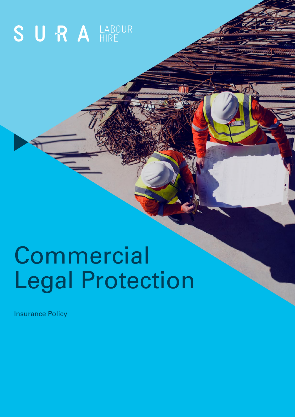# SURA<sup>LABOUR</sup>

# Commercial Legal Protection

Insurance Policy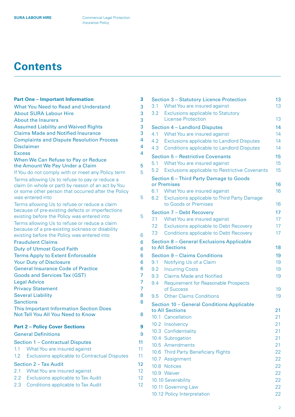# **Contents**

| <b>Part One - Important Information</b>                                                                    | 3        |  |
|------------------------------------------------------------------------------------------------------------|----------|--|
| <b>What You Need to Read and Understand</b>                                                                |          |  |
| <b>About SURA Labour Hire</b>                                                                              |          |  |
| <b>About the Insurers</b>                                                                                  |          |  |
| <b>Assumed Liability and Waived Rights</b>                                                                 |          |  |
| <b>Claims Made and Notified Insurance</b>                                                                  |          |  |
| <b>Complaints and Dispute Resolution Process</b>                                                           |          |  |
| <b>Disclaimer</b>                                                                                          |          |  |
| <b>Excess</b>                                                                                              | 4        |  |
| When We Can Refuse to Pay or Reduce                                                                        |          |  |
| the Amount We Pay Under a Claim                                                                            | 5        |  |
| If You do not comply with or meet any Policy term                                                          | 5        |  |
| Terms allowing Us to refuse to pay or reduce a                                                             |          |  |
| claim (in whole or part) by reason of an act by You<br>or some other person that occurred after the Policy |          |  |
| was entered into                                                                                           | 5        |  |
| Terms allowing Us to refuse or reduce a claim                                                              |          |  |
| because of pre-existing defects or imperfections                                                           |          |  |
| existing before the Policy was entered into                                                                | 5        |  |
| Terms allowing Us to refuse or reduce a claim                                                              |          |  |
| because of a pre-existing sickness or disability                                                           |          |  |
| existing before the Policy was entered into                                                                |          |  |
| <b>Fraudulent Claims</b>                                                                                   |          |  |
| <b>Duty of Utmost Good Faith</b>                                                                           |          |  |
| <b>Terms Apply to Extent Enforceable</b>                                                                   |          |  |
| <b>Your Duty of Disclosure</b>                                                                             |          |  |
| <b>General Insurance Code of Practice</b>                                                                  |          |  |
| <b>Goods and Services Tax (GST)</b>                                                                        |          |  |
| <b>Legal Advice</b>                                                                                        |          |  |
| <b>Privacy Statement</b>                                                                                   |          |  |
| <b>Several Liability</b><br><b>Sanctions</b>                                                               |          |  |
| <b>This Important Information Section Does</b>                                                             |          |  |
| Not Tell You All You Need to Know                                                                          | 8        |  |
|                                                                                                            |          |  |
| <b>Part 2 - Policy Cover Sections</b>                                                                      | 9        |  |
| <b>General Definitions</b>                                                                                 | 9        |  |
| <b>Section 1 - Contractual Disputes</b>                                                                    | 11       |  |
| 1.1<br>What You are insured against                                                                        | 11       |  |
| 1.2<br><b>Exclusions applicable to Contractual Disputes</b>                                                | 11       |  |
| Section 2 - Tax Audit                                                                                      |          |  |
| 2.1<br>What You are insured against                                                                        |          |  |
| 2.2<br><b>Exclusions applicable to Tax Audit</b>                                                           | 12<br>12 |  |
| 2.3<br><b>Conditions applicable to Tax Audit</b>                                                           | 12       |  |
|                                                                                                            |          |  |

| 3.1  | <b>Section 3 - Statutory Licence Protection</b><br>What You are insured against | 13<br>13 |
|------|---------------------------------------------------------------------------------|----------|
| 3.2  | <b>Exclusions applicable to Statutory</b>                                       |          |
|      | <b>License Protection</b>                                                       | 13       |
|      | Section 4 - Landlord Disputes                                                   | 14       |
| 4.1  | What You are insured against                                                    | 14       |
| 4.2  | Exclusions applicable to Landlord Disputes                                      | 14       |
| 4.3  | <b>Conditions applicable to Landlord Disputes</b>                               | 14       |
|      | <b>Section 5 - Restrictive Covenants</b>                                        | 15       |
| 5.1  | What You are insured against                                                    | 15       |
| 5.2  | <b>Exclusions applicable to Restrictive Covenants</b>                           | 15       |
|      | Section 6 - Third Party Damage to Goods<br>or Premises                          | 16       |
|      | 6.1 What You are insured against                                                | 16       |
| 6.2  | <b>Exclusions applicable to Third Party Damage</b><br>to Goods or Premises      | 16       |
|      | <b>Section 7 - Debt Recovery</b>                                                | 17       |
| 7.1  | What You are insured against                                                    | 17       |
| 7.2  | <b>Exclusions applicable to Debt Recovery</b>                                   | 17       |
| 7.3  | <b>Conditions applicable to Debt Recovery</b>                                   | 17       |
|      | Section 8 - General Exclusions Applicable                                       |          |
|      | to All Sections                                                                 | 18       |
|      | Section 9 - Claims Conditions                                                   | 19       |
| 9.1  | Notifying Us of a Claim                                                         | 19       |
| 9.2  | <b>Incurring Costs</b>                                                          | 19       |
| 9.3  | <b>Claims Made and Notified</b>                                                 | 19       |
| 9.4  | <b>Requirement for Reasonable Prospects</b>                                     |          |
|      | of Success                                                                      | 19       |
| 9.5  | <b>Other Claims Conditions</b>                                                  | 19       |
|      | Section 10 - General Conditions Applicable                                      |          |
|      | to All Sections                                                                 | 21       |
|      | 10.1 Cancellation                                                               | 21       |
|      | 10.2 Insolvency                                                                 | 21       |
|      | 10.3 Confidentiality                                                            | 21       |
|      | 10.4 Subrogation                                                                | 21       |
|      | 10.5 Amendments                                                                 | 21       |
|      | 10.6 Third Party Beneficiary Rights                                             | 22       |
| 10.7 | Assignment                                                                      | 22       |
| 10.8 | <b>Notices</b>                                                                  | 22       |
|      | 10.9 Waiver                                                                     | 22       |
|      | 10.10 Severability                                                              | 22       |
|      | 10.11 Governing Law                                                             | 22       |
|      | 10.12 Policy Interpretation                                                     | 22       |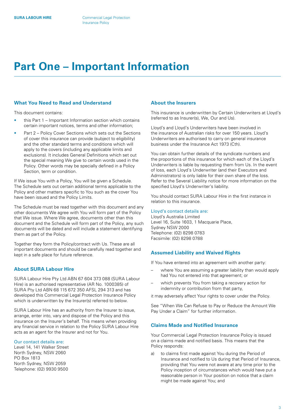# <span id="page-2-0"></span>**Part One – Important Information**

#### **What You Need to Read and Understand**

This document contains:

- this Part 1 Important Information section which contains certain important notices, terms and other information;
- Part 2 Policy Cover Sections which sets out the Sections of cover this insurance can provide (subject to eligibility) and the other standard terms and conditions which will apply to the covers (including any applicable limits and exclusions). It includes General Definitions which set out the special meaning We give to certain words used in the Policy. Other words may be specially defined in a Policy Section, term or condition.

If We issue You with a Policy, You will be given a Schedule. The Schedule sets out certain additional terms applicable to the Policy and other matters specific to You such as the cover You have been issued and the Policy Limits.

The Schedule must be read together with this document and any other documents We agree with You will form part of the Policy that We issue. Where We agree, documents other than this document and the Schedule will form part of the Policy, any such documents will be dated and will include a statement identifying them as part of the Policy.

Together they form the Policy/contract with Us. These are all important documents and should be carefully read together and kept in a safe place for future reference.

#### **About SURA Labour Hire**

SURA Labour Hire Pty Ltd ABN 67 604 373 088 (SURA Labour Hire) is an authorised representative (AR No. 1000385) of SURA Pty Ltd ABN 68 115 672 350 AFSL 294 313 and has developed this Commercial Legal Protection Insurance Policy which is underwritten by the Insurer(s) referred to below.

SURA Labour Hire has an authority from the Insurer to issue, arrange, enter into, vary and dispose of the Policy and this insurance on the Insurer's behalf. This means when providing any financial service in relation to the Policy SURA Labour Hire acts as an agent for the Insurer and not for You.

#### Our contact details are:

Level 14, 141 Walker Street North Sydney, NSW 2060 PO Box 1813 North Sydney, NSW 2059 Telephone: (02) 9930 9500

#### **About the Insurers**

This insurance is underwritten by Certain Underwriters at Lloyd's (referred to as Insurer(s), We, Our and Us).

Lloyd's and Lloyd's Underwriters have been involved in the insurance of Australian risks for over 150 years. Lloyd's Underwriters are authorised to carry on general insurance business under the Insurance Act 1973 (Cth).

You can obtain further details of the syndicate numbers and the proportions of this insurance for which each of the Lloyd's Underwriters is liable by requesting them from Us. In the event of loss, each Lloyd's Underwriter (and their Executors and Administrators) is only liable for their own share of the loss. Refer to the Several Liability notice for more information on the specified Lloyd's Underwriter's liability.

You should contact SURA Labour Hire in the first instance in relation to this insurance.

#### Lloyd's contact details are:

Lloyd's Australia Limited Level 16, Suite 1603, 1 Macquarie Place, Sydney NSW 2000 Telephone: (02) 8298 0783 Facsimile: (02) 8298 0788

#### **Assumed Liability and Waived Rights**

If You have entered into an agreement with another party:

- where You are assuming a greater liability than would apply had You not entered into that agreement; or
- which prevents You from taking a recovery action for indemnity or contribution from that party,

it may adversely affect Your rights to cover under the Policy.

See "When We Can Refuse to Pay or Reduce the Amount We Pay Under a Claim" for further information.

#### **Claims Made and Notified Insurance**

Your Commercial Legal Protection Insurance Policy is issued on a claims made and notified basis. This means that the Policy responds:

a) to claims first made against You during the Period of Insurance and notified to Us during that Period of Insurance, providing that You were not aware at any time prior to the Policy inception of circumstances which would have put a reasonable person in Your position on notice that a claim might be made against You; and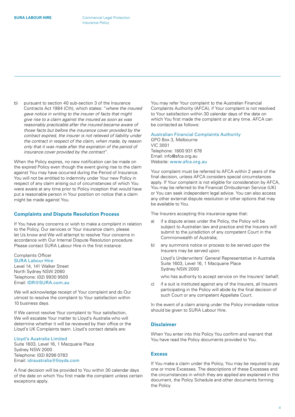<span id="page-3-0"></span>b) pursuant to section 40 sub-section 3 of the Insurance Contracts Act 1984 (Cth), which states: "*where the insured gave notice in writing to the insurer of facts that might give rise to a claim against the insured as soon as was reasonably practicable after the insured became aware of those facts but before the insurance cover provided by the contract expired, the insurer is not relieved of liability under the contract in respect of the claim, when made, by reason only that it was made after the expiration of the period of insurance cover provided by the contract*".

When the Policy expires, no new notification can be made on the expired Policy even though the event giving rise to the claim against You may have occurred during the Period of Insurance. You will not be entitled to indemnity under Your new Policy in respect of any claim arising out of circumstances of which You were aware at any time prior to Policy inception that would have put a reasonable person in Your position on notice that a claim might be made against You.

#### **Complaints and Dispute Resolution Process**

If You have any concerns or wish to make a complaint in relation to the Policy, Our services or Your insurance claim, please let Us know and We will attempt to resolve Your concerns in accordance with Our Internal Dispute Resolution procedure. Please contact SURA Labour Hire in the first instance:

Complaints Officer SURA Labour Hire Level 14, 141 Walker Street North Sydney NSW 2060 Telephone: (02) 9930 9500 Email: [IDR@SURA.com.au](mailto:IDR%40SURA.com.au?subject=)

We will acknowledge receipt of Your complaint and do Our utmost to resolve the complaint to Your satisfaction within 10 business days.

If We cannot resolve Your complaint to Your satisfaction, We will escalate Your matter to Lloyd's Australia who will determine whether it will be reviewed by their office or the Lloyd's UK Complaints team. Lloyd's contact details are:

#### Lloyd's Australia Limited

Suite 1603, Level 16, 1 Macquarie Place Sydney NSW 2000 Telephone: (02) 8298 0783 Email: [idraustralia@lloyds.com](mailto:idraustralia%40lloyds.com?subject=)

A final decision will be provided to You within 30 calendar days of the date on which You first made the complaint unless certain exceptions apply.

You may refer Your complaint to the Australian Financial Complaints Authority (AFCA), if Your complaint is not resolved to Your satisfaction within 30 calendar days of the date on which You first made the complaint or at any time. AFCA can be contacted as follows:

#### Australian Financial Complaints Authority

GPO Box 3, Melbourne VIC 3001 Telephone: 1800 931 678 Email: info@afca.org.au Website: [www.afca.org.au](http://www.afca.org.au)

Your complaint must be referred to AFCA within 2 years of the final decision, unless AFCA considers special circumstances apply. If Your complaint is not eligible for consideration by AFCA, You may be referred to the Financial Ombudsman Service (UK) or You can seek independent legal advice. You can also access any other external dispute resolution or other options that may be available to You.

The Insurers accepting this insurance agree that:

- a) if a dispute arises under the Policy, the Policy will be subject to Australian law and practice and the Insurers will submit to the jurisdiction of any competent Court in the Commonwealth of Australia;
- b) any summons notice or process to be served upon the Insurers may be served upon:

Lloyd's Underwriters' General Representative in Australia Suite 1603, Level 16, 1 Macquarie Place Sydney NSW 2000

who has authority to accept service on the Insurers' behalf;

c) if a suit is instituted against any of the Insurers, all Insurers participating in the Policy will abide by the final decision of such Court or any competent Appellate Court.

In the event of a claim arising under the Policy immediate notice should be given to SURA Labour Hire.

#### **Disclaimer**

When You enter into this Policy You confirm and warrant that You have read the Policy documents provided to You.

#### **Excess**

If You make a claim under the Policy, You may be required to pay one or more Excesses. The descriptions of these Excesses and the circumstances in which they are applied are explained in this document, the Policy Schedule and other documents forming the Policy.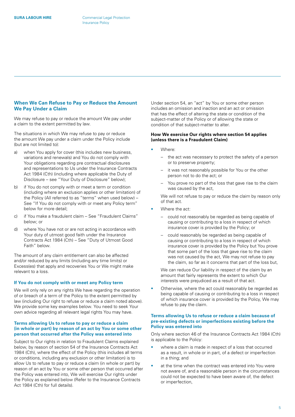#### <span id="page-4-0"></span>**When We Can Refuse to Pay or Reduce the Amount We Pay Under a Claim**

We may refuse to pay or reduce the amount We pay under a claim to the extent permitted by law.

The situations in which We may refuse to pay or reduce the amount We pay under a claim under the Policy include (but are not limited to):

- a) when You apply for cover (this includes new business, variations and renewals) and You do not comply with Your obligations regarding pre contractual disclosures and representations to Us under the Insurance Contracts Act 1984 (Cth) (including where applicable the Duty of Disclosure – see "Your Duty of Disclosure" below);
- b) if You do not comply with or meet a term or condition (including where an exclusion applies or other limitation) of the Policy (All referred to as "terms" when used below) – See "If You do not comply with or meet any Policy term" below for more detail;
- c) if You make a fraudulent claim See "Fraudulent Claims" below; or
- d) where You have not or are not acting in accordance with Your duty of utmost good faith under the Insurance Contracts Act 1984 (Cth) – See "Duty of Utmost Good Faith" below.

The amount of any claim entitlement can also be affected and/or reduced by any limits (including any time limits) or Excess(es) that apply and recoveries You or We might make relevant to a loss.

#### **If You do not comply with or meet any Policy term**

We will only rely on any rights We have regarding the operation of or breach of a term of the Policy to the extent permitted by law (including Our right to refuse or reduce a claim noted above). We provide some key examples below. You need to seek Your own advice regarding all relevant legal rights You may have.

#### **Terms allowing Us to refuse to pay or reduce a claim (in whole or part) by reason of an act by You or some other person that occurred after the Policy was entered into**

Subject to Our rights in relation to Fraudulent Claims explained below, by reason of section 54 of the Insurance Contracts Act 1984 (Cth), where the effect of the Policy (this includes all terms or conditions, including any exclusion or other limitation) is to allow Us to refuse to pay or reduce a claim (in whole or part) by reason of an act by You or some other person that occurred after the Policy was entered into, We will exercise Our rights under the Policy as explained below (Refer to the Insurance Contracts Act 1984 (Cth) for full details).

Under section 54, an "act" by You or some other person includes an omission and inaction and an act or omission that has the effect of altering the state or condition of the subject-matter of the Policy or of allowing the state or condition of that subject-matter to alter.

#### **How We exercise Our rights where section 54 applies (unless there is a Fraudulent Claim)**

- Where:
	- the act was necessary to protect the safety of a person or to preserve property;
	- it was not reasonably possible for You or the other person not to do the act; or
	- You prove no part of the loss that gave rise to the claim was caused by the act,

We will not refuse to pay or reduce the claim by reason only of that act.

- Where the act:
	- could not reasonably be regarded as being capable of causing or contributing to a loss in respect of which insurance cover is provided by the Policy; or
	- could reasonably be regarded as being capable of causing or contributing to a loss in respect of which insurance cover is provided by the Policy but You prove that some part of the loss that gave rise to the claim was not caused by the act, We may not refuse to pay the claim, so far as it concerns that part of the loss but,

We can reduce Our liability in respect of the claim by an amount that fairly represents the extent to which Our interests were prejudiced as a result of that act.

Otherwise, where the act could reasonably be regarded as being capable of causing or contributing to a loss in respect of which insurance cover is provided by the Policy, We may refuse to pay the claim.

#### **Terms allowing Us to refuse or reduce a claim because of pre-existing defects or imperfections existing before the Policy was entered into**

Only where section 46 of the Insurance Contracts Act 1984 (Cth) is applicable to the Policy:

- where a claim is made in respect of a loss that occurred as a result, in whole or in part, of a defect or imperfection in a thing; and
- at the time when the contract was entered into You were not aware of, and a reasonable person in the circumstances could not be expected to have been aware of, the defect or imperfection,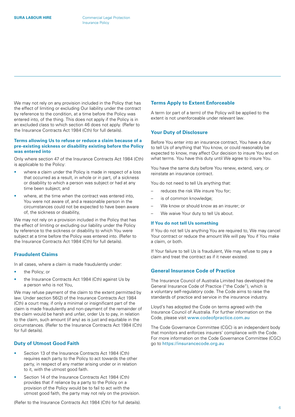<span id="page-5-0"></span>We may not rely on any provision included in the Policy that has the effect of limiting or excluding Our liability under the contract by reference to the condition, at a time before the Policy was entered into, of the thing. This does not apply if the Policy is in an excluded class to which section 46 does not apply. (Refer to the Insurance Contracts Act 1984 (Cth) for full details).

#### **Terms allowing Us to refuse or reduce a claim because of a pre-existing sickness or disability existing before the Policy was entered into**

Only where section 47 of the Insurance Contracts Act 1984 (Cth) is applicable to the Policy:

- where a claim under the Policy is made in respect of a loss that occurred as a result, in whole or in part, of a sickness or disability to which a person was subject or had at any time been subject; and
- where, at the time when the contract was entered into, You were not aware of, and a reasonable person in the circumstances could not be expected to have been aware of, the sickness or disability,

We may not rely on a provision included in the Policy that has the effect of limiting or excluding our liability under the Policy by reference to the sickness or disability to which You were subject at a time before the Policy was entered into. (Refer to the Insurance Contracts Act 1984 (Cth) for full details).

#### **Fraudulent Claims**

In all cases, where a claim is made fraudulently under:

- the Policy; or
- the Insurance Contracts Act 1984 (Cth) against Us by a person who is not You,

We may refuse payment of the claim to the extent permitted by law. Under section 56(2) of the Insurance Contracts Act 1984 (Cth) a court may, if only a minimal or insignificant part of the claim is made fraudulently and non-payment of the remainder of the claim would be harsh and unfair, order Us to pay, in relation to the claim, such amount (if any) as is just and equitable in the circumstances. (Refer to the Insurance Contracts Act 1984 (Cth) for full details).

#### **Duty of Utmost Good Faith**

- Section 13 of the Insurance Contracts Act 1984 (Cth) requires each party to the Policy to act towards the other party, in respect of any matter arising under or in relation to it, with the utmost good faith.
- Section 14 of the Insurance Contracts Act 1984 (Cth) provides that if reliance by a party to the Policy on a provision of the Policy would be to fail to act with the utmost good faith, the party may not rely on the provision.

### Before You enter into an insurance contract, You have a duty

**Your Duty of Disclosure**

to tell Us of anything that You know, or could reasonably be expected to know, may affect Our decision to insure You and on what terms. You have this duty until We agree to insure You.

You have the same duty before You renew, extend, vary, or reinstate an insurance contract.

A term (or part of a term) of the Policy will be applied to the

You do not need to tell Us anything that:

**Terms Apply to Extent Enforceable**

extent is not unenforceable under relevant law.

- reduces the risk We insure You for;
- is of common knowledge;
- We know or should know as an insurer; or
- We waive Your duty to tell Us about.

#### **If You do not tell Us something**

If You do not tell Us anything You are required to, We may cancel Your contract or reduce the amount We will pay You if You make a claim, or both.

If Your failure to tell Us is fraudulent, We may refuse to pay a claim and treat the contract as if it never existed.

#### **General Insurance Code of Practice**

The Insurance Council of Australia Limited has developed the General Insurance Code of Practice ("the Code"), which is a voluntary self-regulatory code. The Code aims to raise the standards of practice and service in the insurance industry.

Lloyd's has adopted the Code on terms agreed with the Insurance Council of Australia. For further information on the Code, please visit [www.codeofpractice.com.au](http://www.codeofpractice.com.au)

The Code Governance Committee (CGC) is an independent body that monitors and enforces insurers' compliance with the Code. For more information on the Code Governance Committee (CGC) go to <https://insurancecode.org.au>

(Refer to the Insurance Contracts Act 1984 (Cth) for full details).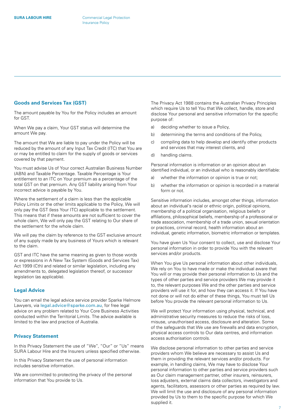#### <span id="page-6-0"></span>**Goods and Services Tax (GST)**

The amount payable by You for the Policy includes an amount for GST.

When We pay a claim, Your GST status will determine the amount We pay.

The amount that We are liable to pay under the Policy will be reduced by the amount of any Input Tax Credit (ITC) that You are or may be entitled to claim for the supply of goods or services covered by that payment.

You must advise Us of Your correct Australian Business Number (ABN) and Taxable Percentage. Taxable Percentage is Your entitlement to an ITC on Your premium as a percentage of the total GST on that premium. Any GST liability arising from Your incorrect advice is payable by You.

Where the settlement of a claim is less than the applicable Policy Limits or the other limits applicable to the Policy, We will only pay the GST (less Your ITC) applicable to the settlement. This means that if these amounts are not sufficient to cover the whole claim, We will only pay the GST relating to Our share of the settlement for the whole claim.

We will pay the claim by reference to the GST exclusive amount of any supply made by any business of Yours which is relevant to the claim.

GST and ITC have the same meaning as given to those words or expressions in A New Tax System (Goods and Services Tax) Act 1999 (Cth) and related or similar legislation, including any amendments to, delegated legislation thereof, or successor legislation (as applicable).

#### **Legal Advice**

You can email the legal advice service provider Sparke Helmore Lawyers, via [legal.advice@sparke.com.au](mailto:legal.advice%40sparke.com.au?subject=), for free legal advice on any problem related to Your Core Business Activities conducted within the Territorial Limits. The advice available is limited to the law and practice of Australia.

#### **Privacy Statement**

In this Privacy Statement the use of "We", "Our" or "Us" means SURA Labour Hire and the Insurers unless specified otherwise.

In this Privacy Statement the use of personal information includes sensitive information.

We are committed to protecting the privacy of the personal information that You provide to Us.

The Privacy Act 1988 contains the Australian Privacy Principles which require Us to tell You that We collect, handle, store and disclose Your personal and sensitive information for the specific purpose of:

- a) deciding whether to issue a Policy,
- b) determining the terms and conditions of the Policy,
- c) compiling data to help develop and identify other products and services that may interest clients, and
- d) handling claims.

Personal information is information or an opinion about an identified individual, or an individual who is reasonably identifiable:

- a) whether the information or opinion is true or not;
- b) whether the information or opinion is recorded in a material form or not.

Sensitive information includes, amongst other things, information about an individual's racial or ethnic origin, political opinions, membership of a political organisation, religious beliefs or affiliations, philosophical beliefs, membership of a professional or trade association, membership of a trade union, sexual orientation or practices, criminal record, health information about an individual, genetic information, biometric information or templates.

You have given Us Your consent to collect, use and disclose Your personal information in order to provide You with the relevant services and/or products.

When You give Us personal information about other individuals, We rely on You to have made or make the individual aware that You will or may provide their personal information to Us and the types of other parties and service providers We may provide it to, the relevant purposes We and the other parties and service providers will use it for, and how they can access it. If You have not done or will not do either of these things, You must tell Us before You provide the relevant personal information to Us.

We will protect Your information using physical, technical, and administrative security measures to reduce the risks of loss, misuse, unauthorised access, disclosure and alteration. Some of the safeguards that We use are firewalls and data encryption, physical access controls to Our data centres, and information access authorisation controls.

We disclose personal information to other parties and service providers whom We believe are necessary to assist Us and them in providing the relevant services and/or products. For example, in handling claims, We may have to disclose Your personal information to other parties and service providers such as Our claim management partner, other insurers, reinsurers, loss adjusters, external claims data collectors, investigators and agents, facilitators, assessors or other parties as required by law. We will limit the use and disclosure of any personal information provided by Us to them to the specific purpose for which We supplied it.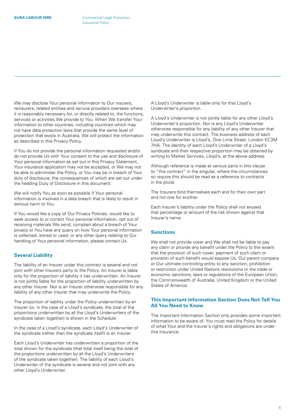<span id="page-7-0"></span>We may disclose Your personal information to Our insurers. reinsurers, related entities and service providers overseas where it is reasonably necessary for, or directly related to, the functions, services or activities We provide to You. When We transfer Your information to other countries, including countries which may not have data protection laws that provide the same level of protection that exists in Australia, We will protect the information as described in this Privacy Policy.

If You do not provide the personal information requested and/or do not provide Us with Your consent to the use and disclosure of Your personal information as set out in this Privacy Statement, Your insurance application may not be accepted, or We may not be able to administer the Policy, or You may be in breach of Your duty of disclosure, the consequences of which are set out under the heading Duty of Disclosure in this document.

We will notify You as soon as possible if Your personal information is involved in a data breach that is likely to result in serious harm to You.

If You would like a copy of Our Privacy Policies, would like to seek access to or correct Your personal information, opt out of receiving materials We send, complain about a breach of Your privacy or You have any query on how Your personal information is collected, stored or used, or any other query relating to Our handling of Your personal information, please contact Us.

#### **Several Liability**

The liability of an Insurer under this contract is several and not joint with other Insurers party to the Policy. An Insurer is liable only for the proportion of liability it has underwritten. An Insurer is not jointly liable for the proportion of liability underwritten by any other Insurer. Nor is an Insurer otherwise responsible for any liability of any other Insurer that may underwrite the Policy.

The proportion of liability under the Policy underwritten by an Insurer (or, in the case of a Lloyd's syndicate, the total of the proportions underwritten by all the Lloyd's Underwriters of the syndicate taken together) is shown in the Schedule.

In the case of a Lloyd's syndicate, each Lloyd's Underwriter of the syndicate (rather than the syndicate itself) is an Insurer.

Each Lloyd's Underwriter has underwritten a proportion of the total shown for the syndicate (that total itself being the total of the proportions underwritten by all the Lloyd's Underwriters of the syndicate taken together). The liability of each Lloyd's Underwriter of the syndicate is several and not joint with any other Lloyd's Underwriter.

A Lloyd's Underwriter is liable only for that Lloyd's Underwriter's proportion.

A Lloyd's Underwriter is not jointly liable for any other Lloyd's Underwriter's proportion. Nor is any Lloyd's Underwriter otherwise responsible for any liability of any other Insurer that may underwrite this contract. The business address of each Lloyd's Underwriter is Lloyd's, One Lime Street, London EC3M 7HA. The identity of each Lloyd's Underwriter of a Lloyd's syndicate and their respective proportion may be obtained by writing to Market Services, Lloyd's, at the above address.

Although reference is made at various parts in this clause to "this contract" in the singular, where the circumstances so require this should be read as a reference to contracts in the plural.

The Insurers bind themselves each and for their own part and not one for another.

Each Insurer's liability under the Policy shall not exceed that percentage or amount of the risk shown against that Insurer's name.

#### **Sanctions**

We shall not provide cover and We shall not be liable to pay any claim or provide any benefit under the Policy to the extent that the provision of such cover, payment of such claim or provision of such benefit would expose Us, Our parent company or Our ultimate controlling entity to any sanction, prohibition or restriction under United Nations resolutions or the trade or economic sanctions, laws or regulations of the European Union, the Commonwealth of Australia, United Kingdom or the United States of America.

#### **This Important Information Section Does Not Tell You All You Need to Know**

The Important Information Section only provides some important information to be aware of. You must read the Policy for details of what Your and the Insurer's rights and obligations are under this insurance.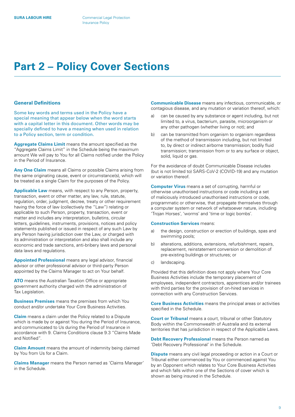# <span id="page-8-0"></span>**Part 2 – Policy Cover Sections**

#### **General Definitions**

Some key words and terms used in the Policy have a special meaning that appear below when the word starts with a capital letter in this document. Other words may be specially defined to have a meaning when used in relation to a Policy section, term or condition.

**Aggregate Claims Limit** means the amount specified as the "Aggregate Claims Limit" in the Schedule being the maximum amount We will pay to You for all Claims notified under the Policy in the Period of Insurance.

**Any One Claim** means all Claims or possible Claims arising from the same originating cause, event or circumstance(s), which will be treated as a single Claim for the purposes of the Policy.

**Applicable Law** means, with respect to any Person, property, transaction, event or other matter, any law, rule, statute, regulation, order, judgment, decree, treaty or other requirement having the force of law (collectively the "Law") relating or applicable to such Person, property, transaction, event or matter and includes any interpretation, bulletins, circular letters, guidelines, instruments, provisions, notices and policy statements published or issued in respect of any such Law by any Person having jurisdiction over the Law, or charged with its administration or interpretation and also shall include any economic and trade sanctions, anti-bribery laws and personal data laws and regulations.

**Appointed Professional** means any legal advisor, financial advisor or other professional advisor or third-party Person appointed by the Claims Manager to act on Your behalf.

**ATO** means the Australian Taxation Office or appropriate government authority charged with the administration of Tax Legislation.

**Business Premises** means the premises from which You conduct and/or undertake Your Core Business Activities.

**Claim** means a claim under the Policy related to a Dispute which is made by or against You during the Period of Insurance, and communicated to Us during the Period of Insurance in accordance with 9. Claims Conditions clause 9.3 "Claims Made and Notified".

**Claim Amount** means the amount of indemnity being claimed by You from Us for a Claim.

**Claims Manager** means the Person named as 'Claims Manager' in the Schedule.

**Communicable Disease** means any infectious, communicable, or contagious disease, and any mutation or variation thereof, which:

- a) can be caused by any substance or agent including, but not limited to, a virus, bacterium, parasite, microorganism or any other pathogen (whether living or not); and
- b) can be transmitted from organism to organism regardless of the method of transmission including, but not limited to, by direct or indirect airborne transmission; bodily fluid transmission; transmission from or to any surface or object, solid, liquid or gas.

For the avoidance of doubt Communicable Disease includes (but is not limited to) SARS-CoV-2 (COVID-19) and any mutation or variation thereof.

**Computer Virus** means a set of corrupting, harmful or otherwise unauthorised instructions or code including a set of maliciously introduced unauthorised instructions or code, programmatic or otherwise, that propagate themselves through a computer system or network of whatsoever nature, including 'Trojan Horses', 'worms' and 'time or logic bombs'.

#### **Construction Services** means:

- a) the design, construction or erection of buildings, spas and swimming pools;
- b) alterations, additions, extensions, refurbishment, repairs, replacement, reinstatement conversion or demolition of pre-existing buildings or structures; or
- c) landscaping.

Provided that this definition does not apply where Your Core Business Activities include the temporary placement of employees, independent contractors, apprentices and/or trainees with third parties for the provision of on-hired services in connection with any Construction Services.

**Core Business Activities** means the principal areas or activities specified in the Schedule.

**Court or Tribunal** means a court, tribunal or other Statutory Body within the Commonwealth of Australia and its external territories that has jurisdiction in respect of the Applicable Laws.

**Debt Recovery Professional** means the Person named as 'Debt Recovery Professional' in the Schedule.

**Dispute** means any civil legal proceeding or action in a Court or Tribunal either commenced by You or commenced against You by an Opponent which relates to Your Core Business Activities and which falls within one of the Sections of cover which is shown as being insured in the Schedule.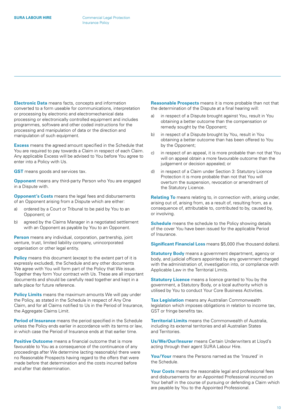**Electronic Data** means facts, concepts and information converted to a form useable for communications, interpretation or processing by electronic and electromechanical data processing or electronically controlled equipment and includes programmes, software and other coded instructions for the processing and manipulation of data or the direction and manipulation of such equipment.

**Excess** means the agreed amount specified in the Schedule that You are required to pay towards a Claim in respect of each Claim. Any applicable Excess will be advised to You before You agree to enter into a Policy with Us.

**GST** means goods and services tax.

**Opponent** means any third-party Person who You are engaged in a Dispute with.

**Opponent's Costs** means the legal fees and disbursements of an Opponent arising from a Dispute which are either:

- a) ordered by a Court or Tribunal to be paid by You to an Opponent; or
- b) agreed by the Claims Manager in a negotiated settlement with an Opponent as payable by You to an Opponent.

**Person** means any individual, corporation, partnership, joint venture, trust, limited liability company, unincorporated organisation or other legal entity.

**Policy** means this document (except to the extent part of it is expressly excluded), the Schedule and any other documents We agree with You will form part of the Policy that We issue. Together they form Your contract with Us. These are all important documents and should be carefully read together and kept in a safe place for future reference.

**Policy Limits** means the maximum amounts We will pay under the Policy, as stated in the Schedule in respect of Any One Claim, and for all Claims notified to Us in the Period of Insurance, the Aggregate Claims Limit.

**Period of Insurance** means the period specified in the Schedule unless the Policy ends earlier in accordance with its terms or law, in which case the Period of Insurance ends at that earlier time.

**Positive Outcome** means a financial outcome that is more favourable to You as a consequence of the continuance of any proceedings after We determine (acting reasonably) there were no Reasonable Prospects having regard to the offers that were made before that determination and the costs incurred before and after that determination.

**Reasonable Prospects** means it is more probable than not that the determination of the Dispute at a final hearing will:

- a) in respect of a Dispute brought against You, result in You obtaining a better outcome than the compensation or remedy sought by the Opponent;
- b) in respect of a Dispute brought by You, result in You obtaining a better outcome than has been offered to You by the Opponent;
- c) in respect of an appeal, it is more probable than not that You will on appeal obtain a more favourable outcome than the judgement or decision appealed; or
- d) in respect of a Claim under Section 3: Statutory Licence Protection it is more probable than not that You will overturn the suspension, revocation or amendment of the Statutory Licence.

**Relating To** means relating to, in connection with, arising under, arising out of, arising from, as a result of, resulting from, as a consequence of, attributable to, contributed to by, caused by, or involving.

**Schedule** means the schedule to the Policy showing details of the cover You have been issued for the applicable Period of Insurance.

**Significant Financial Loss** means \$5,000 (five thousand dollars).

**Statutory Body** means a government department, agency or body, and judicial officers appointed by any government charged with the administration of, investigation into, or compliance with Applicable Law in the Territorial Limits.

**Statutory Licence** means a licence granted to You by the government, a Statutory Body, or a local authority which is utilised by You to conduct Your Core Business Activities.

**Tax Legislation** means any Australian Commonwealth legislation which imposes obligations in relation to income tax, GST or fringe benefits tax.

**Territorial Limits** means the Commonwealth of Australia, including its external territories and all Australian States and Territories.

**Us/We/Our/Insurer** means Certain Underwriters at Lloyd's acting through their agent SURA Labour Hire.

**You/Your** means the Persons named as the 'Insured' in the Schedule.

**Your Costs** means the reasonable legal and professional fees and disbursements for an Appointed Professional incurred on Your behalf in the course of pursuing or defending a Claim which are payable by You to the Appointed Professional.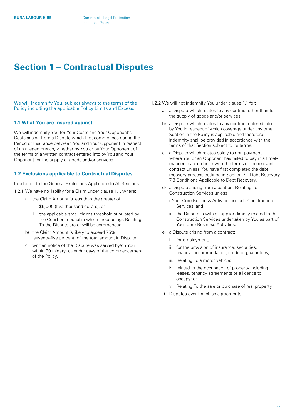### <span id="page-10-0"></span>**Section 1 – Contractual Disputes**

We will indemnify You, subject always to the terms of the Policy including the applicable Policy Limits and Excess.

#### **1.1 What You are insured against**

We will indemnify You for Your Costs and Your Opponent's Costs arising from a Dispute which first commences during the Period of Insurance between You and Your Opponent in respect of an alleged breach, whether by You or by Your Opponent, of the terms of a written contract entered into by You and Your Opponent for the supply of goods and/or services.

#### **1.2 Exclusions applicable to Contractual Disputes**

In addition to the General Exclusions Applicable to All Sections: 1.2.1 We have no liability for a Claim under clause 1.1. where:

- a) the Claim Amount is less than the greater of:
	- i. \$5,000 (five thousand dollars); or
	- ii. the applicable small claims threshold stipulated by the Court or Tribunal in which proceedings Relating To the Dispute are or will be commenced.
- b) the Claim Amount is likely to exceed 75% (seventy-five percent) of the total amount in Dispute.
- c) written notice of the Dispute was served by/on You within 90 (ninety) calendar days of the commencement of the Policy.
- 1.2.2 We will not indemnify You under clause 1.1 for:
	- a) a Dispute which relates to any contract other than for the supply of goods and/or services.
	- b) a Dispute which relates to any contract entered into by You in respect of which coverage under any other Section in the Policy is applicable and therefore indemnity shall be provided in accordance with the terms of that Section subject to its terms.
	- c) a Dispute which relates solely to non-payment where You or an Opponent has failed to pay in a timely manner in accordance with the terms of the relevant contract unless You have first completed the debt recovery process outlined in Section 7 – Debt Recovery, 7.3 Conditions Applicable to Debt Recovery.
	- d) a Dispute arising from a contract Relating To Construction Services unless:
		- i.Your Core Business Activities include Construction Services; and
		- ii. the Dispute is with a supplier directly related to the Construction Services undertaken by You as part of Your Core Business Activities.
	- e) a Dispute arising from a contract:
		- i. for employment;
		- ii. for the provision of insurance, securities, financial accommodation, credit or guarantees;
		- iii. Relating To a motor vehicle;
		- iv. related to the occupation of property including leases, tenancy agreements or a licence to occupy; or
		- v. Relating To the sale or purchase of real property.
	- f) Disputes over franchise agreements.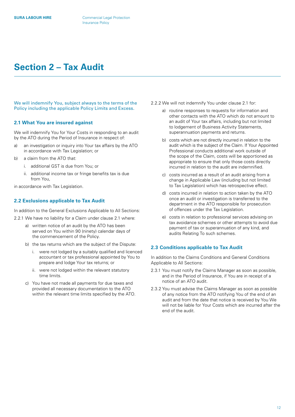# <span id="page-11-0"></span>**Section 2 – Tax Audit**

We will indemnify You, subject always to the terms of the Policy including the applicable Policy Limits and Excess.

#### **2.1 What You are insured against**

We will indemnify You for Your Costs in responding to an audit by the ATO during the Period of Insurance in respect of:

- a) an investigation or inquiry into Your tax affairs by the ATO in accordance with Tax Legislation; or
- b) a claim from the ATO that:
	- i. additional GST is due from You; or
	- ii. additional income tax or fringe benefits tax is due from You,

in accordance with Tax Legislation.

#### **2.2 Exclusions applicable to Tax Audit**

In addition to the General Exclusions Applicable to All Sections:

- 2.2.1 We have no liability for a Claim under clause 2.1 where:
	- a) written notice of an audit by the ATO has been served on You within 90 (ninety) calendar days of the commencement of the Policy.
	- b) the tax returns which are the subject of the Dispute:
		- i. were not lodged by a suitably qualified and licenced accountant or tax professional appointed by You to prepare and lodge Your tax returns; or
		- ii. were not lodged within the relevant statutory time limits.
	- c) You have not made all payments for due taxes and provided all necessary documentation to the ATO within the relevant time limits specified by the ATO.
- 2.2.2 We will not indemnify You under clause 2.1 for:
	- a) routine responses to requests for information and other contacts with the ATO which do not amount to an audit of Your tax affairs, including but not limited to lodgement of Business Activity Statements, superannuation payments and returns.
	- b) costs which are not directly incurred in relation to the audit which is the subject of the Claim. If Your Appointed Professional conducts additional work outside of the scope of the Claim, costs will be apportioned as appropriate to ensure that only those costs directly incurred in relation to the audit are indemnified.
	- c) costs incurred as a result of an audit arising from a change in Applicable Law (including but not limited to Tax Legislation) which has retrospective effect.
	- d) costs incurred in relation to action taken by the ATO once an audit or investigation is transferred to the department in the ATO responsible for prosecution of offences under the Tax Legislation.
	- e) costs in relation to professional services advising on tax avoidance schemes or other attempts to avoid due payment of tax or superannuation of any kind, and audits Relating To such schemes.

#### **2.3 Conditions applicable to Tax Audit**

In addition to the Claims Conditions and General Conditions Applicable to All Sections:

- 2.3.1 You must notify the Claims Manager as soon as possible, and in the Period of Insurance, if You are in receipt of a notice of an ATO audit.
- 2.3.2 You must advise the Claims Manager as soon as possible of any notice from the ATO notifying You of the end of an audit and from the date that notice is received by You We will not be liable for Your Costs which are incurred after the end of the audit.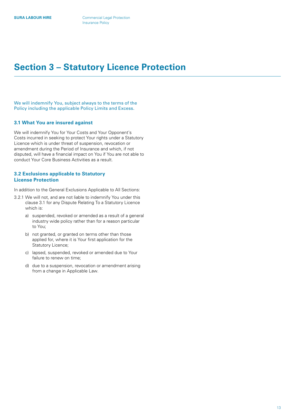# <span id="page-12-0"></span>**Section 3 – Statutory Licence Protection**

We will indemnify You, subject always to the terms of the Policy including the applicable Policy Limits and Excess.

#### **3.1 What You are insured against**

We will indemnify You for Your Costs and Your Opponent's Costs incurred in seeking to protect Your rights under a Statutory Licence which is under threat of suspension, revocation or amendment during the Period of Insurance and which, if not disputed, will have a financial impact on You if You are not able to conduct Your Core Business Activities as a result.

#### **3.2 Exclusions applicable to Statutory License Protection**

In addition to the General Exclusions Applicable to All Sections:

- 3.2.1 We will not, and are not liable to indemnify You under this clause 3.1 for any Dispute Relating To a Statutory Licence which is:
	- a) suspended, revoked or amended as a result of a general industry wide policy rather than for a reason particular to You;
	- b) not granted, or granted on terms other than those applied for, where it is Your first application for the Statutory Licence;
	- c) lapsed, suspended, revoked or amended due to Your failure to renew on time;
	- d) due to a suspension, revocation or amendment arising from a change in Applicable Law.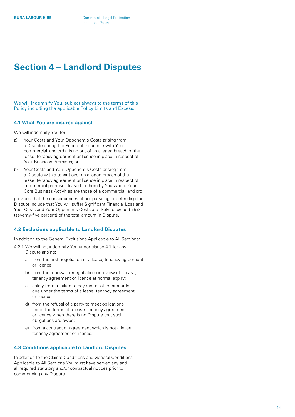# <span id="page-13-0"></span>**Section 4 – Landlord Disputes**

We will indemnify You, subject always to the terms of this Policy including the applicable Policy Limits and Excess.

#### **4.1 What You are insured against**

We will indemnify You for:

- a) Your Costs and Your Opponent's Costs arising from a Dispute during the Period of Insurance with Your commercial landlord arising out of an alleged breach of the lease, tenancy agreement or licence in place in respect of Your Business Premises; or
- b) Your Costs and Your Opponent's Costs arising from a Dispute with a tenant over an alleged breach of the lease, tenancy agreement or licence in place in respect of commercial premises leased to them by You where Your Core Business Activities are those of a commercial landlord,

provided that the consequences of not pursuing or defending the Dispute include that You will suffer Significant Financial Loss and Your Costs and Your Opponents Costs are likely to exceed 75% (seventy-five percent) of the total amount in Dispute.

#### **4.2 Exclusions applicable to Landlord Disputes**

In addition to the General Exclusions Applicable to All Sections:

- 4.2.1 We will not indemnify You under clause 4.1 for any Dispute arising:
	- a) from the first negotiation of a lease, tenancy agreement or licence;
	- b) from the renewal, renegotiation or review of a lease, tenancy agreement or licence at normal expiry;
	- c) solely from a failure to pay rent or other amounts due under the terms of a lease, tenancy agreement or licence;
	- d) from the refusal of a party to meet obligations under the terms of a lease, tenancy agreement or licence when there is no Dispute that such obligations are owed;
	- e) from a contract or agreement which is not a lease, tenancy agreement or licence.

#### **4.3 Conditions applicable to Landlord Disputes**

In addition to the Claims Conditions and General Conditions Applicable to All Sections You must have served any and all required statutory and/or contractual notices prior to commencing any Dispute.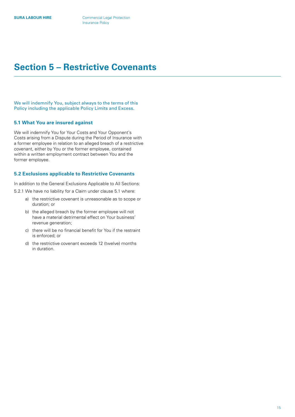## <span id="page-14-0"></span>**Section 5 – Restrictive Covenants**

We will indemnify You, subject always to the terms of this Policy including the applicable Policy Limits and Excess.

#### **5.1 What You are insured against**

We will indemnify You for Your Costs and Your Opponent's Costs arising from a Dispute during the Period of Insurance with a former employee in relation to an alleged breach of a restrictive covenant, either by You or the former employee, contained within a written employment contract between You and the former employee.

#### **5.2 Exclusions applicable to Restrictive Covenants**

In addition to the General Exclusions Applicable to All Sections:

5.2.1 We have no liability for a Claim under clause 5.1 where:

- a) the restrictive covenant is unreasonable as to scope or duration; or
- b) the alleged breach by the former employee will not have a material detrimental effect on Your business' revenue generation;
- c) there will be no financial benefit for You if the restraint is enforced; or
- d) the restrictive covenant exceeds 12 (twelve) months in duration.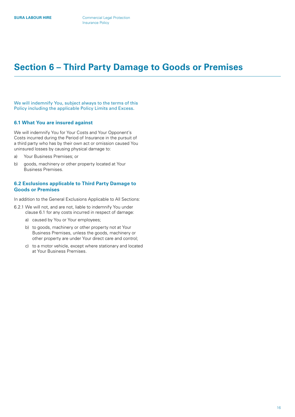### <span id="page-15-0"></span>**Section 6 – Third Party Damage to Goods or Premises**

We will indemnify You, subject always to the terms of this Policy including the applicable Policy Limits and Excess.

#### **6.1 What You are insured against**

We will indemnify You for Your Costs and Your Opponent's Costs incurred during the Period of Insurance in the pursuit of a third party who has by their own act or omission caused You uninsured losses by causing physical damage to:

- a) Your Business Premises; or
- b) goods, machinery or other property located at Your Business Premises.

#### **6.2 Exclusions applicable to Third Party Damage to Goods or Premises**

In addition to the General Exclusions Applicable to All Sections:

- 6.2.1 We will not, and are not, liable to indemnify You under clause 6.1 for any costs incurred in respect of damage:
	- a) caused by You or Your employees;
	- b) to goods, machinery or other property not at Your Business Premises, unless the goods, machinery or other property are under Your direct care and control;
	- c) to a motor vehicle, except where stationary and located at Your Business Premises.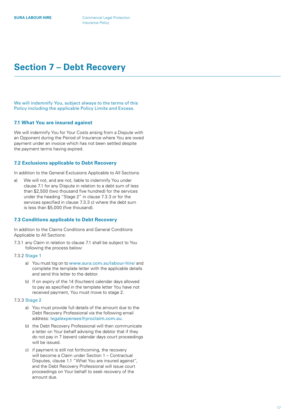# <span id="page-16-0"></span>**Section 7 – Debt Recovery**

We will indemnify You, subject always to the terms of this Policy including the applicable Policy Limits and Excess.

#### **7.1 What You are insured against**

We will indemnify You for Your Costs arising from a Dispute with an Opponent during the Period of Insurance where You are owed payment under an invoice which has not been settled despite the payment terms having expired.

#### **7.2 Exclusions applicable to Debt Recovery**

In addition to the General Exclusions Applicable to All Sections:

a) We will not, and are not, liable to indemnify You under clause 7.1 for any Dispute in relation to a debt sum of less than \$2,500 (two thousand five hundred) for the services under the heading "Stage 2" in clause 7.3.3 or for the services specified in clause 7.3.3 c) where the debt sum is less than \$5,000 (five thousand).

#### **7.3 Conditions applicable to Debt Recovery**

In addition to the Claims Conditions and General Conditions Applicable to All Sections:

7.3.1 any Claim in relation to clause 7.1 shall be subject to You following the process below:

#### 7.3.2 Stage 1

- a) You must log on to [www.sura.com.au/labour-hire/](https://www.sura.com.au/labour-hire/) and complete the template letter with the applicable details and send this letter to the debtor.
- b) If on expiry of the 14 (fourteen) calendar days allowed to pay as specified in the template letter You have not received payment, You must move to stage 2.

#### 7.3.3 Stage 2

- a) You must provide full details of the amount due to the Debt Recovery Professional via the following email address: [legalexpenses@proclaim.com.au](mailto:legalexpenses%40proclaim.com.au?subject=) .
- b) the Debt Recovery Professional will then communicate a letter on Your behalf advising the debtor that if they do not pay in 7 (seven) calendar days court proceedings will be issued.
- c) if payment is still not forthcoming, the recovery will become a Claim under Section 1 – Contractual Disputes, clause 1.1 "What You are insured against", and the Debt Recovery Professional will issue court proceedings on Your behalf to seek recovery of the amount due.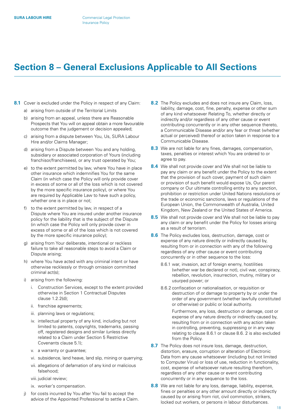# <span id="page-17-0"></span>**Section 8 – General Exclusions Applicable to All Sections**

- **8.1** Cover is excluded under the Policy in respect of any Claim:
	- a) arising from outside of the Territorial Limits
	- b) arising from an appeal, unless there are Reasonable Prospects that You will on appeal obtain a more favourable outcome than the judgement or decision appealed;
	- c) arising from a dispute between You, Us, SURA Labour Hire and/or Claims Manager;
	- d) arising from a Dispute between You and any holding, subsidiary or associated corporation of Yours (including franchisor/franchisees), or any trust operated by You;
	- e) to the extent permitted by law, where You have in place other insurance which indemnifies You for the same Claim (in which case the Policy will only provide cover in excess of some or all of the loss which is not covered by the more specific insurance policy), or where You are required by Applicable Law to have such a policy, whether one is in place or not;
	- f) to the extent permitted by law, in respect of a Dispute where You are insured under another insurance policy for the liability that is the subject of the Dispute (in which case the Policy will only provide cover in excess of some or all of the loss which is not covered by the more specific insurance policy);
	- g) arising from Your deliberate, intentional or reckless failure to take all reasonable steps to avoid a Claim or Dispute arising;
	- h) where You have acted with any criminal intent or have otherwise recklessly or through omission committed criminal act(s);
	- i) arising from the following:
		- i. Construction Services, except to the extent provided otherwise in Section 1 Contractual Disputes clause 1.2.2(d);
		- ii. franchise agreements;
		- iii. planning laws or regulations;
		- iv. intellectual property of any kind, including but not limited to patents, copyrights, trademarks, passing off, registered designs and similar (unless directly related to a Claim under Section 5 Restrictive Covenants clause 5.1);
		- v. a warranty or guarantee;
		- vi. subsidence, land heave, land slip, mining or quarrying;
		- vii. allegations of defamation of any kind or malicious falsehood;
		- viii. judicial review;
		- ix. worker's compensation.
	- j) for costs incurred by You after You fail to accept the advice of the Appointed Professional to settle a Claim.
- **8.2** The Policy excludes and does not insure any Claim, loss, liability, damage, cost, fine, penalty, expense or other sum of any kind whatsoever Relating To, whether directly or indirectly and/or regardless of any other cause or event contributing concurrently or in any other sequence thereto, a Communicable Disease and/or any fear or threat (whether actual or perceived) thereof or action taken in response to a Communicable Disease.
- **8.3** We are not liable for any fines, damages, compensation, taxes, penalties or interest which You are ordered to or agree to pay.
- **8.4** We shall not provide cover and We shall not be liable to pay any claim or any benefit under the Policy to the extent that the provision of such cover, payment of such claim or provision of such benefit would expose Us, Our parent company or Our ultimate controlling entity to any sanction, prohibition or restriction under United Nations resolutions or the trade or economic sanctions, laws or regulations of the European Union, the Commonwealth of Australia, United Kingdom, New Zealand or the United States of America.
- **8.5** We shall not provide cover and We shall not be liable to pay any claim or any benefit under the Policy for losses arising as a result of terrorism.
- **8.6** The Policy excludes loss, destruction, damage, cost or expense of any nature directly or indirectly caused by, resulting from or in connection with any of the following regardless of any other cause or event contributing concurrently or in other sequence to the loss:
	- 8.6.1 war, invasion, act of foreign enemy, hostilities (whether war be declared or not), civil war, conspiracy, rebellion, revolution, insurrection, mutiny, military or usurped power; or
	- 8.6.2 confiscation or nationalisation, or requisition or destruction of or damage to property by or under the order of any government (whether lawfully constituted or otherwise) or public or local authority.

 Furthermore, any loss, destruction or damage, cost or expense of any nature directly or indirectly caused by, resulting from or in connection with any action taken in controlling, preventing, suppressing or in any way relating to clause 8.6.1 or clause 8.6. 2 is also excluded from the Policy.

- **8.7** The Policy does not insure loss, damage, destruction, distortion, erasure, corruption or alteration of Electronic Data from any cause whatsoever (including but not limited to Computer Virus) or loss of use, reduction in functionality, cost, expense of whatsoever nature resulting therefrom, regardless of any other cause or event contributing concurrently or in any sequence to the loss.
- **8.8** We are not liable for any loss, damage, liability, expense, fines or penalties or any other amount directly or indirectly caused by or arising from riot, civil commotion, strikers, locked out workers, or persons in labour disturbances.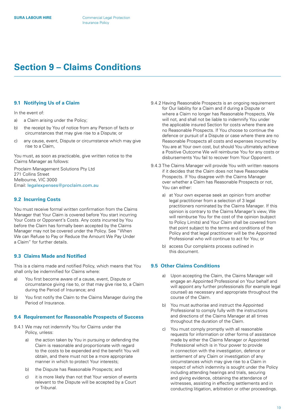## <span id="page-18-0"></span>**Section 9 – Claims Conditions**

#### **9.1 Notifying Us of a Claim**

In the event of:

- a) a Claim arising under the Policy;
- b) the receipt by You of notice from any Person of facts or circumstances that may give rise to a Dispute; or
- c) any cause, event, Dispute or circumstance which may give rise to a Claim,

You must, as soon as practicable, give written notice to the Claims Manager as follows:

Proclaim Management Solutions Pty Ltd 271 Collins Street Melbourne, VIC 3000 Email: [legalexpenses@proclaim.com.au](mailto:legalexpenses%40proclaim.com.au?subject=)

#### **9.2 Incurring Costs**

You must receive formal written confirmation from the Claims Manager that Your Claim is covered before You start incurring Your Costs or Opponent's Costs. Any costs incurred by You before the Claim has formally been accepted by the Claims Manager may not be covered under the Policy. See "When We can Refuse to Pay or Reduce the Amount We Pay Under a Claim" for further details.

#### **9.3 Claims Made and Notified**

This is a claims made and notified Policy, which means that You shall only be indemnified for Claims where:

- a) You first become aware of a cause, event, Dispute or circumstance giving rise to, or that may give rise to, a Claim during the Period of Insurance; and
- b) You first notify the Claim to the Claims Manager during the Period of Insurance.

#### **9.4 Requirement for Reasonable Prospects of Success**

- 9.4.1 We may not indemnify You for Claims under the Policy, unless:
	- a) the action taken by You in pursuing or defending the Claim is reasonable and proportionate with regard to the costs to be expended and the benefit You will obtain, and there must not be a more appropriate manner in which to protect Your interests;
	- b) the Dispute has Reasonable Prospects; and
	- c) it is more likely than not that Your version of events relevant to the Dispute will be accepted by a Court or Tribunal.
- 9.4.2 Having Reasonable Prospects is an ongoing requirement for Our liability for a Claim and if during a Dispute or where a Claim no longer has Reasonable Prospects, We will not, and shall not be liable to indemnify You under the applicable insured Section for costs where there are no Reasonable Prospects. If You choose to continue the defence or pursuit of a Dispute or case where there are no Reasonable Prospects all costs and expenses incurred by You are at Your own cost, but should You ultimately achieve a Positive Outcome We will reimburse You for any costs or disbursements You fail to recover from Your Opponent.
- 9.4.3 The Claims Manager will provide You with written reasons if it decides that the Claim does not have Reasonable Prospects. If You disagree with the Claims Manager over whether a Claim has Reasonable Prospects or not, You can either:
	- a) at Your own expense seek an opinion from another legal practitioner from a selection of 3 legal practitioners nominated by the Claims Manager. If this opinion is contrary to the Claims Manager's view, We will reimburse You for the cost of the opinion (subject to Policy Limits) and Your Claim shall be covered from that point subject to the terms and conditions of the Policy and that legal practitioner will be the Appointed Professional who will continue to act for You; or
	- b) access Our complaints process outlined in this document.

#### **9.5 Other Claims Conditions**

- a) Upon accepting the Claim, the Claims Manager will engage an Appointed Professional on Your behalf and will appoint any further professionals (for example legal counsel) as necessary and appropriate throughout the course of the Claim.
- b) You must authorise and instruct the Appointed Professional to comply fully with the instructions and directions of the Claims Manager at all times throughout the duration of the Claim.
- c) You must comply promptly with all reasonable requests for information or other forms of assistance made by either the Claims Manager or Appointed Professional which is in Your power to provide in connection with the investigation, defence or settlement of any Claim or investigation of any circumstances which may give rise to a Claim in respect of which indemnity is sought under the Policy including attending hearings and trials, securing and giving evidence, obtaining the attendance of witnesses, assisting in effecting settlements and in conducting litigation, arbitration or other proceedings.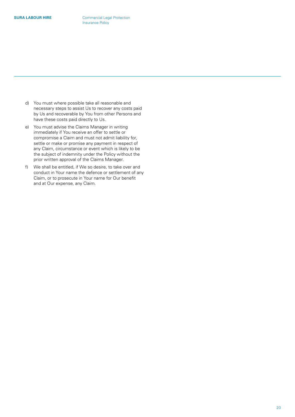- d) You must where possible take all reasonable and necessary steps to assist Us to recover any costs paid by Us and recoverable by You from other Persons and have these costs paid directly to Us.
- e) You must advise the Claims Manager in writing immediately if You receive an offer to settle or compromise a Claim and must not admit liability for, settle or make or promise any payment in respect of any Claim, circumstance or event which is likely to be the subject of indemnity under the Policy without the prior written approval of the Claims Manager.
- f) We shall be entitled, if We so desire, to take over and conduct in Your name the defence or settlement of any Claim, or to prosecute in Your name for Our benefit and at Our expense, any Claim.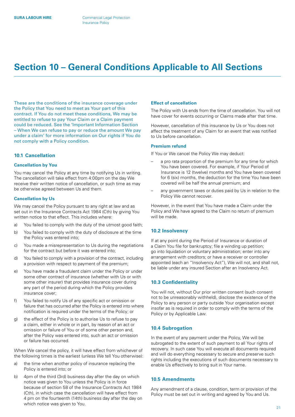# <span id="page-20-0"></span>**Section 10 – General Conditions Applicable to All Sections**

These are the conditions of the insurance coverage under the Policy that You need to meet as Your part of this contract. If You do not meet these conditions, We may be entitled to refuse to pay Your Claim or a Claim payment could be reduced. See the 'Important Information Section – When We can refuse to pay or reduce the amount We pay under a claim' for more information on Our rights if You do not comply with a Policy condition.

#### **10.1 Cancellation**

#### **Cancellation by You**

You may cancel the Policy at any time by notifying Us in writing. The cancellation will take effect from 4:00pm on the day We receive their written notice of cancellation, or such time as may be otherwise agreed between Us and them.

#### **Cancellation by Us**

We may cancel the Policy pursuant to any right at law and as set out in the Insurance Contracts Act 1984 (Cth) by giving You written notice to that effect. This includes where:

- a) You failed to comply with the duty of the utmost good faith;
- b) You failed to comply with the duty of disclosure at the time the Policy was entered into;
- c) You made a misrepresentation to Us during the negotiations for the contract but before it was entered into;
- d) You failed to comply with a provision of the contract, including a provision with respect to payment of the premium;
- e) You have made a fraudulent claim under the Policy or under some other contract of insurance (whether with Us or with some other insurer) that provides insurance cover during any part of the period during which the Policy provides insurance cover;
- f) You failed to notify Us of any specific act or omission or failure that has occurred after the Policy is entered into where notification is required under the terms of the Policy; or
- g) the effect of the Policy is to authorise Us to refuse to pay a claim, either in whole or in part, by reason of an act or omission or failure of You or of some other person and, after the Policy was entered into, such an act or omission or failure has occurred.

When We cancel the policy, it will have effect from whichever of the following times is the earliest (unless We tell You otherwise):

- a) the time when another policy of insurance replacing the Policy is entered into; or
- b) 4pm of the third (3rd) business day after the day on which notice was given to You unless the Policy is in force because of section 58 of the Insurance Contracts Act 1984 (Cth), in which case the cancellation will have effect from 4 pm on the fourteenth (14th) business day after the day on which notice was given to You.

#### **Effect of cancellation**

The Policy with Us ends from the time of cancellation. You will not have cover for events occurring or Claims made after that time.

However, cancellation of this insurance by Us or You does not affect the treatment of any Claim for an event that was notified to Us before cancellation.

#### **Premium refund**

If You or We cancel the Policy We may deduct:

- a pro rata proportion of the premium for any time for which You have been covered. For example, if Your Period of Insurance is 12 (twelve) months and You have been covered for 6 (six) months, the deduction for the time You have been covered will be half the annual premium; and
- any government taxes or duties paid by Us in relation to the Policy We cannot recover.

However, in the event that You have made a Claim under the Policy and We have agreed to the Claim no return of premium will be made.

#### **10.2 Insolvency**

If at any point during the Period of Insurance or duration of a Claim You file for bankruptcy; file a winding up petition; go into liquidation or voluntary administration; enter into any arrangement with creditors; or have a receiver or controller appointed (each an "Insolvency Act"), We will not, and shall not, be liable under any insured Section after an Insolvency Act.

#### **10.3 Confidentiality**

You will not, without Our prior written consent (such consent not to be unreasonably withheld), disclose the existence of the Policy to any person or party outside Your organisation except insofar as is required in order to comply with the terms of the Policy or by Applicable Law.

#### **10.4 Subrogation**

In the event of any payment under the Policy, We will be subrogated to the extent of such payment to all Your rights of recovery. In such case You will execute all documents required and will do everything necessary to secure and preserve such rights including the executions of such documents necessary to enable Us effectively to bring suit in Your name.

#### **10.5 Amendments**

Any amendment of a clause, condition, term or provision of the Policy must be set out in writing and agreed by You and Us.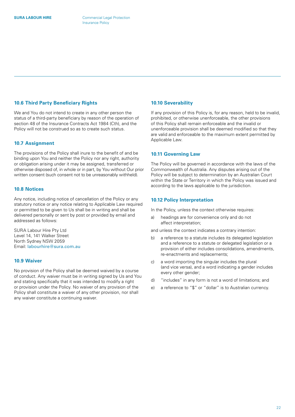#### <span id="page-21-0"></span>**10.6 Third Party Beneficiary Rights**

We and You do not intend to create in any other person the status of a third-party beneficiary by reason of the operation of section 48 of the Insurance Contracts Act 1984 (Cth), and the Policy will not be construed so as to create such status.

#### **10.7 Assignment**

The provisions of the Policy shall inure to the benefit of and be binding upon You and neither the Policy nor any right, authority or obligation arising under it may be assigned, transferred or otherwise disposed of, in whole or in part, by You without Our prior written consent (such consent not to be unreasonably withheld).

#### **10.8 Notices**

Any notice, including notice of cancellation of the Policy or any statutory notice or any notice relating to Applicable Law required or permitted to be given to Us shall be in writing and shall be delivered personally or sent by post or provided by email and addressed as follows:

SURA Labour Hire Pty Ltd Level 14, 141 Walker Street North Sydney NSW 2059 Email: [labourhire@sura.com.au](mailto:labourhire%40sura.com.au?subject=)

#### **10.9 Waiver**

No provision of the Policy shall be deemed waived by a course of conduct. Any waiver must be in writing signed by Us and You and stating specifically that it was intended to modify a right or provision under the Policy. No waiver of any provision of the Policy shall constitute a waiver of any other provision, nor shall any waiver constitute a continuing waiver.

#### **10.10 Severability**

If any provision of this Policy is, for any reason, held to be invalid, prohibited, or otherwise unenforceable, the other provisions of this Policy shall remain enforceable and the invalid or unenforceable provision shall be deemed modified so that they are valid and enforceable to the maximum extent permitted by Applicable Law.

#### **10.11 Governing Law**

The Policy will be governed in accordance with the laws of the Commonwealth of Australia. Any disputes arising out of the Policy will be subject to determination by an Australian Court within the State or Territory in which the Policy was issued and according to the laws applicable to the jurisdiction.

#### **10.12 Policy Interpretation**

In the Policy, unless the context otherwise requires:

a) headings are for convenience only and do not affect interpretation;

and unless the context indicates a contrary intention:

- b) a reference to a statute includes its delegated legislation and a reference to a statute or delegated legislation or a provision of either includes consolidations, amendments, re-enactments and replacements;
- c) a word importing the singular includes the plural (and vice versa), and a word indicating a gender includes every other gender;
- d) "includes" in any form is not a word of limitations; and
- e) a reference to "\$" or "dollar" is to Australian currency.